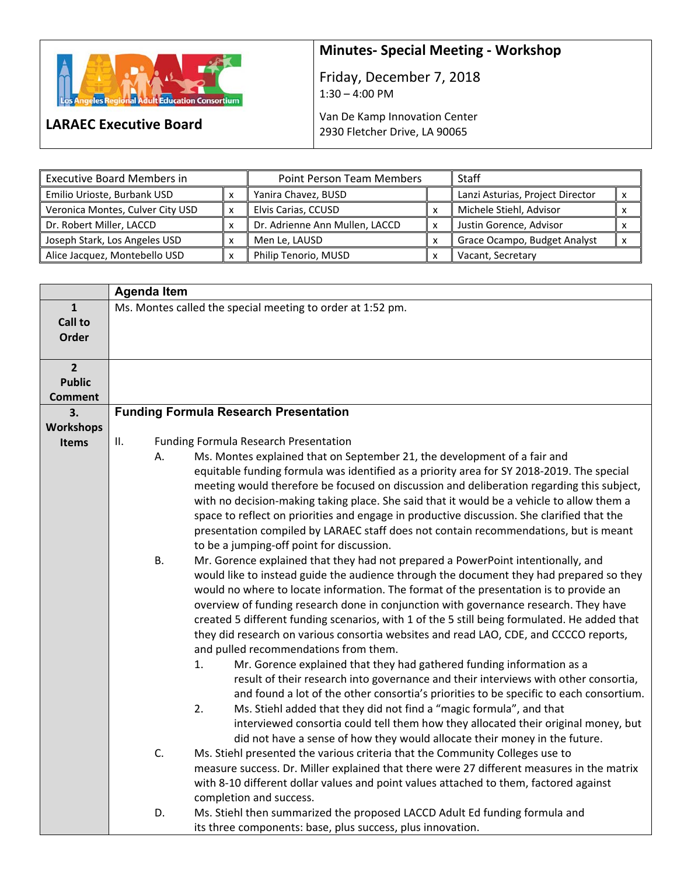

**LARAEC Executive Board** 

## **Minutes‐ Special Meeting ‐ Workshop**

Friday, December 7, 2018  $1:30 - 4:00 \text{ PM}$ 

Van De Kamp Innovation Center 2930 Fletcher Drive, LA 90065

| <b>Executive Board Members in</b> | <b>Point Person Team Members</b> |                                | Staff |                                  |  |
|-----------------------------------|----------------------------------|--------------------------------|-------|----------------------------------|--|
| Emilio Urioste, Burbank USD       |                                  | Yanira Chavez, BUSD            |       | Lanzi Asturias, Project Director |  |
| Veronica Montes, Culver City USD  |                                  | Elvis Carias, CCUSD            |       | Michele Stiehl, Advisor          |  |
| Dr. Robert Miller, LACCD          |                                  | Dr. Adrienne Ann Mullen, LACCD | x     | Justin Gorence, Advisor          |  |
| Joseph Stark, Los Angeles USD     |                                  | Men Le, LAUSD                  |       | Grace Ocampo, Budget Analyst     |  |
| Alice Jacquez, Montebello USD     |                                  | Philip Tenorio, MUSD           |       | Vacant, Secretary                |  |

|                  | <b>Agenda Item</b>                                         |                                                                                              |  |
|------------------|------------------------------------------------------------|----------------------------------------------------------------------------------------------|--|
| $\mathbf{1}$     | Ms. Montes called the special meeting to order at 1:52 pm. |                                                                                              |  |
| <b>Call to</b>   |                                                            |                                                                                              |  |
| Order            |                                                            |                                                                                              |  |
|                  |                                                            |                                                                                              |  |
| $\overline{2}$   |                                                            |                                                                                              |  |
| <b>Public</b>    |                                                            |                                                                                              |  |
| <b>Comment</b>   |                                                            |                                                                                              |  |
| 3.               |                                                            | <b>Funding Formula Research Presentation</b>                                                 |  |
| <b>Workshops</b> |                                                            |                                                                                              |  |
| Items            | II.                                                        | <b>Funding Formula Research Presentation</b>                                                 |  |
|                  | А.                                                         | Ms. Montes explained that on September 21, the development of a fair and                     |  |
|                  |                                                            | equitable funding formula was identified as a priority area for SY 2018-2019. The special    |  |
|                  |                                                            | meeting would therefore be focused on discussion and deliberation regarding this subject,    |  |
|                  |                                                            | with no decision-making taking place. She said that it would be a vehicle to allow them a    |  |
|                  |                                                            | space to reflect on priorities and engage in productive discussion. She clarified that the   |  |
|                  |                                                            | presentation compiled by LARAEC staff does not contain recommendations, but is meant         |  |
|                  |                                                            | to be a jumping-off point for discussion.                                                    |  |
|                  | <b>B.</b>                                                  | Mr. Gorence explained that they had not prepared a PowerPoint intentionally, and             |  |
|                  |                                                            | would like to instead guide the audience through the document they had prepared so they      |  |
|                  |                                                            | would no where to locate information. The format of the presentation is to provide an        |  |
|                  |                                                            | overview of funding research done in conjunction with governance research. They have         |  |
|                  |                                                            | created 5 different funding scenarios, with 1 of the 5 still being formulated. He added that |  |
|                  |                                                            | they did research on various consortia websites and read LAO, CDE, and CCCCO reports,        |  |
|                  |                                                            | and pulled recommendations from them.                                                        |  |
|                  |                                                            | Mr. Gorence explained that they had gathered funding information as a<br>1.                  |  |
|                  |                                                            | result of their research into governance and their interviews with other consortia,          |  |
|                  |                                                            | and found a lot of the other consortia's priorities to be specific to each consortium.       |  |
|                  |                                                            | 2.<br>Ms. Stiehl added that they did not find a "magic formula", and that                    |  |
|                  |                                                            | interviewed consortia could tell them how they allocated their original money, but           |  |
|                  |                                                            | did not have a sense of how they would allocate their money in the future.                   |  |
|                  | C.                                                         | Ms. Stiehl presented the various criteria that the Community Colleges use to                 |  |
|                  |                                                            | measure success. Dr. Miller explained that there were 27 different measures in the matrix    |  |
|                  |                                                            | with 8-10 different dollar values and point values attached to them, factored against        |  |
|                  |                                                            | completion and success.                                                                      |  |
|                  | D.                                                         | Ms. Stiehl then summarized the proposed LACCD Adult Ed funding formula and                   |  |
|                  |                                                            |                                                                                              |  |
|                  |                                                            | its three components: base, plus success, plus innovation.                                   |  |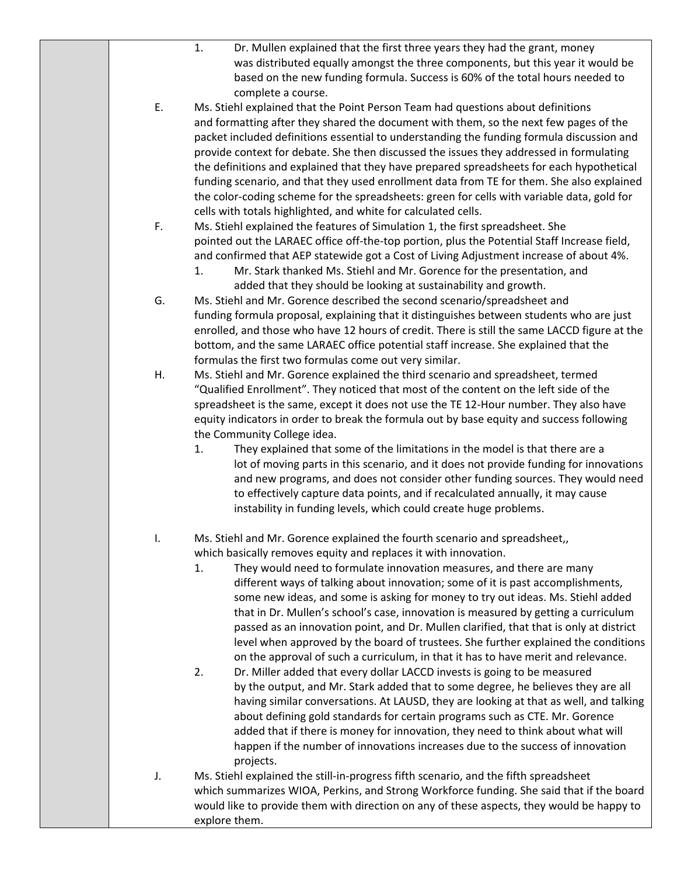|    | 1.<br>Dr. Mullen explained that the first three years they had the grant, money<br>was distributed equally amongst the three components, but this year it would be                                                                                            |
|----|---------------------------------------------------------------------------------------------------------------------------------------------------------------------------------------------------------------------------------------------------------------|
|    | based on the new funding formula. Success is 60% of the total hours needed to<br>complete a course.                                                                                                                                                           |
| Ε. | Ms. Stiehl explained that the Point Person Team had questions about definitions                                                                                                                                                                               |
|    | and formatting after they shared the document with them, so the next few pages of the<br>packet included definitions essential to understanding the funding formula discussion and                                                                            |
|    | provide context for debate. She then discussed the issues they addressed in formulating                                                                                                                                                                       |
|    | the definitions and explained that they have prepared spreadsheets for each hypothetical<br>funding scenario, and that they used enrollment data from TE for them. She also explained                                                                         |
|    | the color-coding scheme for the spreadsheets: green for cells with variable data, gold for                                                                                                                                                                    |
| F. | cells with totals highlighted, and white for calculated cells.<br>Ms. Stiehl explained the features of Simulation 1, the first spreadsheet. She                                                                                                               |
|    | pointed out the LARAEC office off-the-top portion, plus the Potential Staff Increase field,                                                                                                                                                                   |
|    | and confirmed that AEP statewide got a Cost of Living Adjustment increase of about 4%.<br>Mr. Stark thanked Ms. Stiehl and Mr. Gorence for the presentation, and<br>1.                                                                                        |
|    | added that they should be looking at sustainability and growth.                                                                                                                                                                                               |
| G. | Ms. Stiehl and Mr. Gorence described the second scenario/spreadsheet and<br>funding formula proposal, explaining that it distinguishes between students who are just                                                                                          |
|    | enrolled, and those who have 12 hours of credit. There is still the same LACCD figure at the                                                                                                                                                                  |
|    | bottom, and the same LARAEC office potential staff increase. She explained that the<br>formulas the first two formulas come out very similar.                                                                                                                 |
| Η. | Ms. Stiehl and Mr. Gorence explained the third scenario and spreadsheet, termed                                                                                                                                                                               |
|    | "Qualified Enrollment". They noticed that most of the content on the left side of the<br>spreadsheet is the same, except it does not use the TE 12-Hour number. They also have                                                                                |
|    | equity indicators in order to break the formula out by base equity and success following                                                                                                                                                                      |
|    | the Community College idea.                                                                                                                                                                                                                                   |
|    | They explained that some of the limitations in the model is that there are a<br>1.<br>lot of moving parts in this scenario, and it does not provide funding for innovations<br>and new programs, and does not consider other funding sources. They would need |
|    | to effectively capture data points, and if recalculated annually, it may cause                                                                                                                                                                                |
|    | instability in funding levels, which could create huge problems.                                                                                                                                                                                              |
| I. | Ms. Stiehl and Mr. Gorence explained the fourth scenario and spreadsheet,                                                                                                                                                                                     |
|    | which basically removes equity and replaces it with innovation.<br>They would need to formulate innovation measures, and there are many<br>1.                                                                                                                 |
|    | different ways of talking about innovation; some of it is past accomplishments,                                                                                                                                                                               |
|    | some new ideas, and some is asking for money to try out ideas. Ms. Stiehl added                                                                                                                                                                               |
|    | that in Dr. Mullen's school's case, innovation is measured by getting a curriculum<br>passed as an innovation point, and Dr. Mullen clarified, that that is only at district                                                                                  |
|    | level when approved by the board of trustees. She further explained the conditions                                                                                                                                                                            |
|    | on the approval of such a curriculum, in that it has to have merit and relevance.                                                                                                                                                                             |
|    | 2.<br>Dr. Miller added that every dollar LACCD invests is going to be measured<br>by the output, and Mr. Stark added that to some degree, he believes they are all                                                                                            |
|    | having similar conversations. At LAUSD, they are looking at that as well, and talking                                                                                                                                                                         |
|    | about defining gold standards for certain programs such as CTE. Mr. Gorence<br>added that if there is money for innovation, they need to think about what will                                                                                                |
|    | happen if the number of innovations increases due to the success of innovation<br>projects.                                                                                                                                                                   |
| J. | Ms. Stiehl explained the still-in-progress fifth scenario, and the fifth spreadsheet                                                                                                                                                                          |
|    | which summarizes WIOA, Perkins, and Strong Workforce funding. She said that if the board<br>would like to provide them with direction on any of these aspects, they would be happy to                                                                         |

explore them.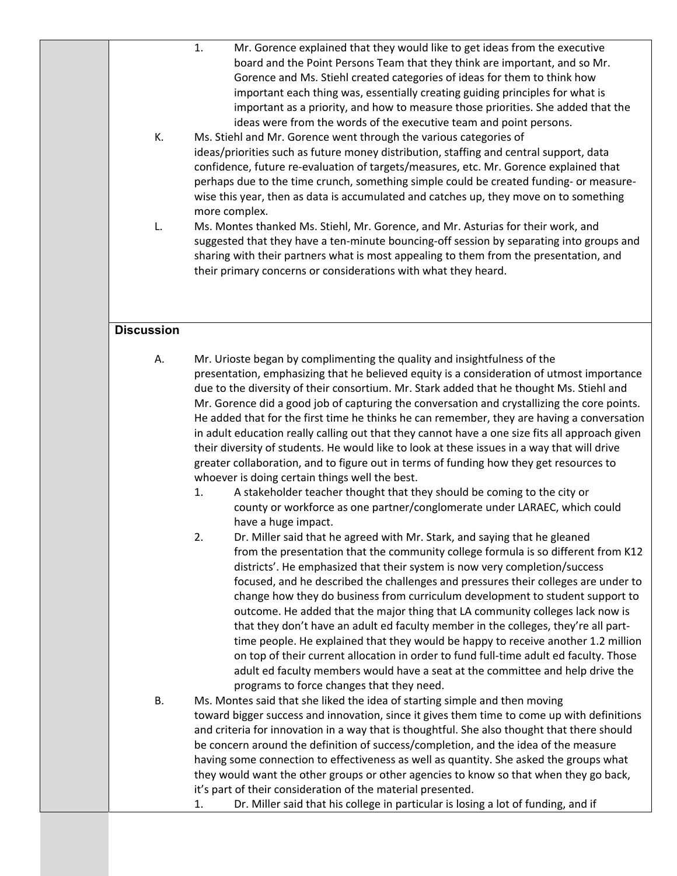| К.                | 1.<br>Mr. Gorence explained that they would like to get ideas from the executive<br>board and the Point Persons Team that they think are important, and so Mr.<br>Gorence and Ms. Stiehl created categories of ideas for them to think how<br>important each thing was, essentially creating guiding principles for what is<br>important as a priority, and how to measure those priorities. She added that the<br>ideas were from the words of the executive team and point persons.<br>Ms. Stiehl and Mr. Gorence went through the various categories of<br>ideas/priorities such as future money distribution, staffing and central support, data<br>confidence, future re-evaluation of targets/measures, etc. Mr. Gorence explained that<br>perhaps due to the time crunch, something simple could be created funding- or measure-<br>wise this year, then as data is accumulated and catches up, they move on to something<br>more complex.                         |
|-------------------|---------------------------------------------------------------------------------------------------------------------------------------------------------------------------------------------------------------------------------------------------------------------------------------------------------------------------------------------------------------------------------------------------------------------------------------------------------------------------------------------------------------------------------------------------------------------------------------------------------------------------------------------------------------------------------------------------------------------------------------------------------------------------------------------------------------------------------------------------------------------------------------------------------------------------------------------------------------------------|
| L.                | Ms. Montes thanked Ms. Stiehl, Mr. Gorence, and Mr. Asturias for their work, and<br>suggested that they have a ten-minute bouncing-off session by separating into groups and<br>sharing with their partners what is most appealing to them from the presentation, and<br>their primary concerns or considerations with what they heard.                                                                                                                                                                                                                                                                                                                                                                                                                                                                                                                                                                                                                                   |
| <b>Discussion</b> |                                                                                                                                                                                                                                                                                                                                                                                                                                                                                                                                                                                                                                                                                                                                                                                                                                                                                                                                                                           |
| А.                | Mr. Urioste began by complimenting the quality and insightfulness of the<br>presentation, emphasizing that he believed equity is a consideration of utmost importance<br>due to the diversity of their consortium. Mr. Stark added that he thought Ms. Stiehl and<br>Mr. Gorence did a good job of capturing the conversation and crystallizing the core points.<br>He added that for the first time he thinks he can remember, they are having a conversation<br>in adult education really calling out that they cannot have a one size fits all approach given<br>their diversity of students. He would like to look at these issues in a way that will drive<br>greater collaboration, and to figure out in terms of funding how they get resources to<br>whoever is doing certain things well the best.<br>A stakeholder teacher thought that they should be coming to the city or<br>1.<br>county or workforce as one partner/conglomerate under LARAEC, which could |
|                   | have a huge impact.<br>2.<br>Dr. Miller said that he agreed with Mr. Stark, and saying that he gleaned<br>from the presentation that the community college formula is so different from K12<br>districts'. He emphasized that their system is now very completion/success<br>focused, and he described the challenges and pressures their colleges are under to<br>change how they do business from curriculum development to student support to<br>outcome. He added that the major thing that LA community colleges lack now is<br>that they don't have an adult ed faculty member in the colleges, they're all part-<br>time people. He explained that they would be happy to receive another 1.2 million<br>on top of their current allocation in order to fund full-time adult ed faculty. Those<br>adult ed faculty members would have a seat at the committee and help drive the<br>programs to force changes that they need.                                      |
| В.                | Ms. Montes said that she liked the idea of starting simple and then moving<br>toward bigger success and innovation, since it gives them time to come up with definitions<br>and criteria for innovation in a way that is thoughtful. She also thought that there should<br>be concern around the definition of success/completion, and the idea of the measure<br>having some connection to effectiveness as well as quantity. She asked the groups what<br>they would want the other groups or other agencies to know so that when they go back,<br>it's part of their consideration of the material presented.<br>Dr. Miller said that his college in particular is losing a lot of funding, and if<br>1.                                                                                                                                                                                                                                                               |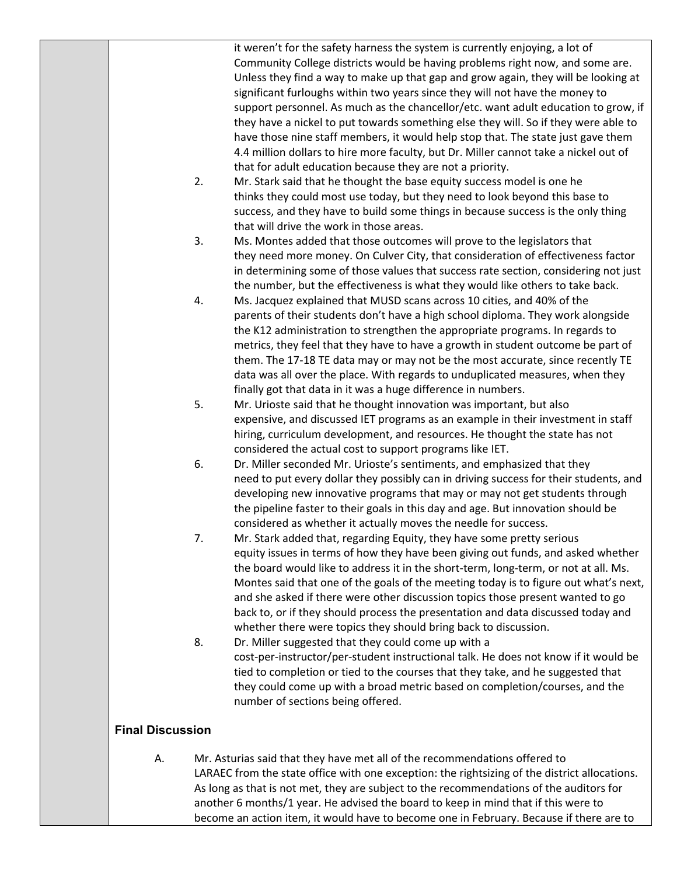it weren't for the safety harness the system is currently enjoying, a lot of Community College districts would be having problems right now, and some are. Unless they find a way to make up that gap and grow again, they will be looking at significant furloughs within two years since they will not have the money to support personnel. As much as the chancellor/etc. want adult education to grow, if they have a nickel to put towards something else they will. So if they were able to have those nine staff members, it would help stop that. The state just gave them 4.4 million dollars to hire more faculty, but Dr. Miller cannot take a nickel out of that for adult education because they are not a priority.

- 2. Mr. Stark said that he thought the base equity success model is one he thinks they could most use today, but they need to look beyond this base to success, and they have to build some things in because success is the only thing that will drive the work in those areas.
- 3. Ms. Montes added that those outcomes will prove to the legislators that they need more money. On Culver City, that consideration of effectiveness factor in determining some of those values that success rate section, considering not just the number, but the effectiveness is what they would like others to take back.
- 4. Ms. Jacquez explained that MUSD scans across 10 cities, and 40% of the parents of their students don't have a high school diploma. They work alongside the K12 administration to strengthen the appropriate programs. In regards to metrics, they feel that they have to have a growth in student outcome be part of them. The 17‐18 TE data may or may not be the most accurate, since recently TE data was all over the place. With regards to unduplicated measures, when they finally got that data in it was a huge difference in numbers.
- 5. Mr. Urioste said that he thought innovation was important, but also expensive, and discussed IET programs as an example in their investment in staff hiring, curriculum development, and resources. He thought the state has not considered the actual cost to support programs like IET.
- 6. Dr. Miller seconded Mr. Urioste's sentiments, and emphasized that they need to put every dollar they possibly can in driving success for their students, and developing new innovative programs that may or may not get students through the pipeline faster to their goals in this day and age. But innovation should be considered as whether it actually moves the needle for success.
- 7. Mr. Stark added that, regarding Equity, they have some pretty serious equity issues in terms of how they have been giving out funds, and asked whether the board would like to address it in the short-term, long-term, or not at all. Ms. Montes said that one of the goals of the meeting today is to figure out what's next, and she asked if there were other discussion topics those present wanted to go back to, or if they should process the presentation and data discussed today and whether there were topics they should bring back to discussion.
- 8. Dr. Miller suggested that they could come up with a cost-per-instructor/per-student instructional talk. He does not know if it would be tied to completion or tied to the courses that they take, and he suggested that they could come up with a broad metric based on completion/courses, and the number of sections being offered.

## **Final Discussion**

A. Mr. Asturias said that they have met all of the recommendations offered to LARAEC from the state office with one exception: the rightsizing of the district allocations. As long as that is not met, they are subject to the recommendations of the auditors for another 6 months/1 year. He advised the board to keep in mind that if this were to become an action item, it would have to become one in February. Because if there are to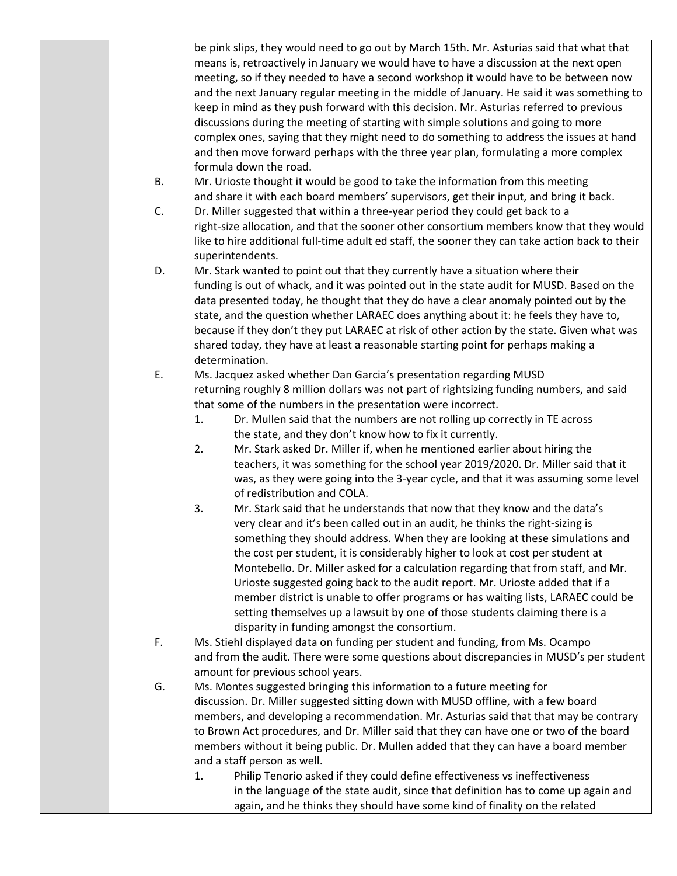|    | be pink slips, they would need to go out by March 15th. Mr. Asturias said that what that<br>means is, retroactively in January we would have to have a discussion at the next open<br>meeting, so if they needed to have a second workshop it would have to be between now<br>and the next January regular meeting in the middle of January. He said it was something to<br>keep in mind as they push forward with this decision. Mr. Asturias referred to previous<br>discussions during the meeting of starting with simple solutions and going to more<br>complex ones, saying that they might need to do something to address the issues at hand<br>and then move forward perhaps with the three year plan, formulating a more complex<br>formula down the road. |
|----|----------------------------------------------------------------------------------------------------------------------------------------------------------------------------------------------------------------------------------------------------------------------------------------------------------------------------------------------------------------------------------------------------------------------------------------------------------------------------------------------------------------------------------------------------------------------------------------------------------------------------------------------------------------------------------------------------------------------------------------------------------------------|
| В. | Mr. Urioste thought it would be good to take the information from this meeting<br>and share it with each board members' supervisors, get their input, and bring it back.                                                                                                                                                                                                                                                                                                                                                                                                                                                                                                                                                                                             |
| C. | Dr. Miller suggested that within a three-year period they could get back to a<br>right-size allocation, and that the sooner other consortium members know that they would<br>like to hire additional full-time adult ed staff, the sooner they can take action back to their<br>superintendents.                                                                                                                                                                                                                                                                                                                                                                                                                                                                     |
| D. | Mr. Stark wanted to point out that they currently have a situation where their<br>funding is out of whack, and it was pointed out in the state audit for MUSD. Based on the<br>data presented today, he thought that they do have a clear anomaly pointed out by the<br>state, and the question whether LARAEC does anything about it: he feels they have to,<br>because if they don't they put LARAEC at risk of other action by the state. Given what was<br>shared today, they have at least a reasonable starting point for perhaps making a<br>determination.                                                                                                                                                                                                   |
| Ε. | Ms. Jacquez asked whether Dan Garcia's presentation regarding MUSD<br>returning roughly 8 million dollars was not part of rightsizing funding numbers, and said<br>that some of the numbers in the presentation were incorrect.<br>Dr. Mullen said that the numbers are not rolling up correctly in TE across<br>1.<br>the state, and they don't know how to fix it currently.<br>2.<br>Mr. Stark asked Dr. Miller if, when he mentioned earlier about hiring the<br>teachers, it was something for the school year 2019/2020. Dr. Miller said that it<br>was, as they were going into the 3-year cycle, and that it was assuming some level<br>of redistribution and COLA.                                                                                          |
|    | Mr. Stark said that he understands that now that they know and the data's<br>3.<br>very clear and it's been called out in an audit, he thinks the right-sizing is<br>something they should address. When they are looking at these simulations and<br>the cost per student, it is considerably higher to look at cost per student at<br>Montebello. Dr. Miller asked for a calculation regarding that from staff, and Mr.<br>Urioste suggested going back to the audit report. Mr. Urioste added that if a<br>member district is unable to offer programs or has waiting lists, LARAEC could be<br>setting themselves up a lawsuit by one of those students claiming there is a<br>disparity in funding amongst the consortium.                                      |
| F. | Ms. Stiehl displayed data on funding per student and funding, from Ms. Ocampo<br>and from the audit. There were some questions about discrepancies in MUSD's per student<br>amount for previous school years.                                                                                                                                                                                                                                                                                                                                                                                                                                                                                                                                                        |
| G. | Ms. Montes suggested bringing this information to a future meeting for<br>discussion. Dr. Miller suggested sitting down with MUSD offline, with a few board<br>members, and developing a recommendation. Mr. Asturias said that that may be contrary<br>to Brown Act procedures, and Dr. Miller said that they can have one or two of the board<br>members without it being public. Dr. Mullen added that they can have a board member<br>and a staff person as well.<br>Philip Tenorio asked if they could define effectiveness vs ineffectiveness<br>1.<br>in the language of the state audit, since that definition has to come up again and<br>again, and he thinks they should have some kind of finality on the related                                        |